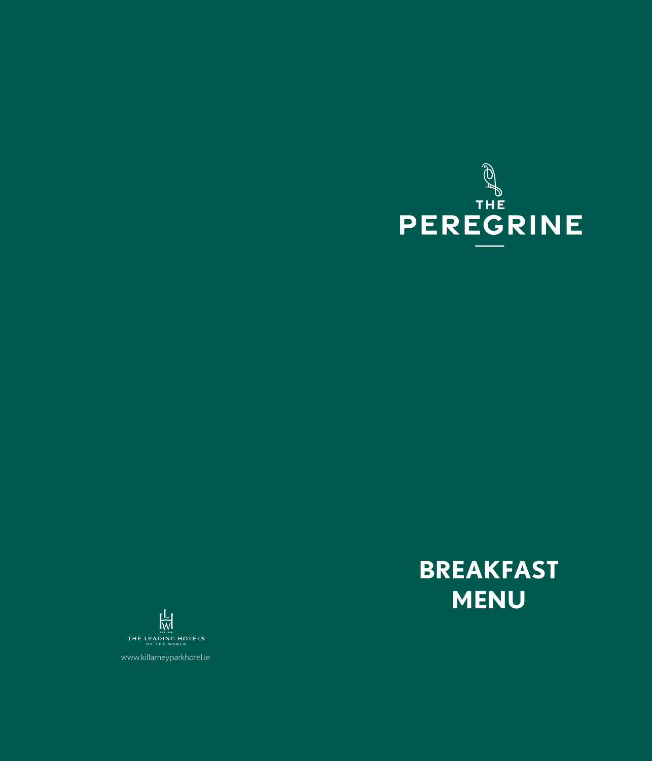

# **BREAKFAST MENU**